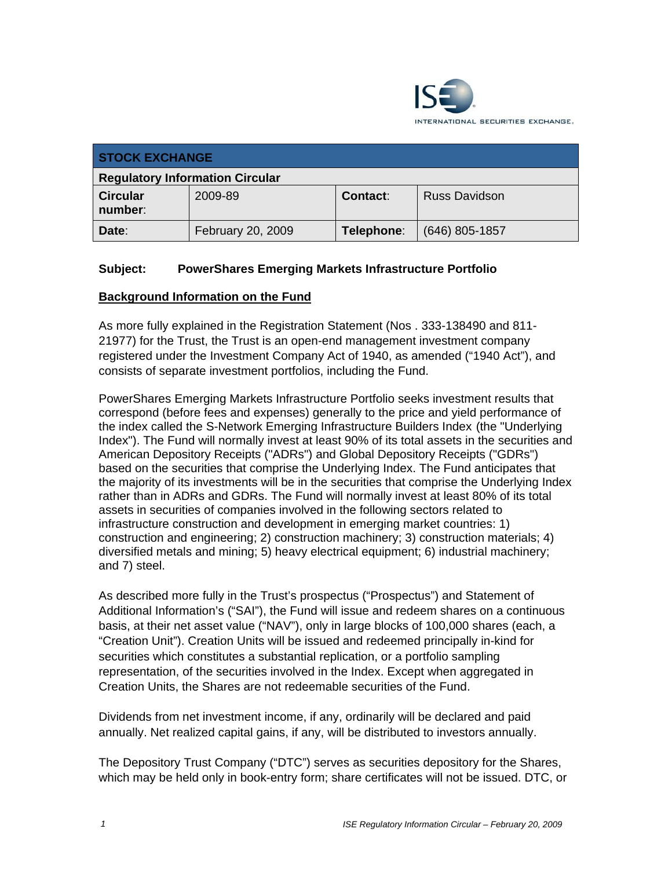

| <b>STOCK EXCHANGE</b>                  |                   |                 |                      |
|----------------------------------------|-------------------|-----------------|----------------------|
| <b>Regulatory Information Circular</b> |                   |                 |                      |
| <b>Circular</b><br>number:             | 2009-89           | <b>Contact:</b> | <b>Russ Davidson</b> |
| Date:                                  | February 20, 2009 | Telephone:      | $(646)$ 805-1857     |

## **Subject: PowerShares Emerging Markets Infrastructure Portfolio**

#### **Background Information on the Fund**

As more fully explained in the Registration Statement (Nos . 333-138490 and 811- 21977) for the Trust, the Trust is an open-end management investment company registered under the Investment Company Act of 1940, as amended ("1940 Act"), and consists of separate investment portfolios, including the Fund.

PowerShares Emerging Markets Infrastructure Portfolio seeks investment results that correspond (before fees and expenses) generally to the price and yield performance of correspond (before rees and expenses) generally to the price and yield performance of<br>the index called the S-Network Emerging Infrastructure Builders Index (the "Underlying Index"). The Fund will normally invest at least 90% of its total assets in the securities and American Depository Receipts ("ADRs") and Global Depository Receipts ("GDRs") based on the securities that comprise the Underlying Index. The Fund anticipates that the majority of its investments will be in the securities that comprise the Underlying Index rather than in ADRs and GDRs. The Fund will normally invest at least 80% of its total assets in securities of companies involved in the following sectors related to infrastructure construction and development in emerging market countries: 1) construction and engineering; 2) construction machinery; 3) construction materials; 4) diversified metals and mining; 5) heavy electrical equipment; 6) industrial machinery; and 7) steel.

As described more fully in the Trust's prospectus ("Prospectus") and Statement of Additional Information's ("SAI"), the Fund will issue and redeem shares on a continuous basis, at their net asset value ("NAV"), only in large blocks of 100,000 shares (each, a "Creation Unit"). Creation Units will be issued and redeemed principally in-kind for securities which constitutes a substantial replication, or a portfolio sampling representation, of the securities involved in the Index. Except when aggregated in Creation Units, the Shares are not redeemable securities of the Fund.

Dividends from net investment income, if any, ordinarily will be declared and paid annually. Net realized capital gains, if any, will be distributed to investors annually.

The Depository Trust Company ("DTC") serves as securities depository for the Shares, which may be held only in book-entry form; share certificates will not be issued. DTC, or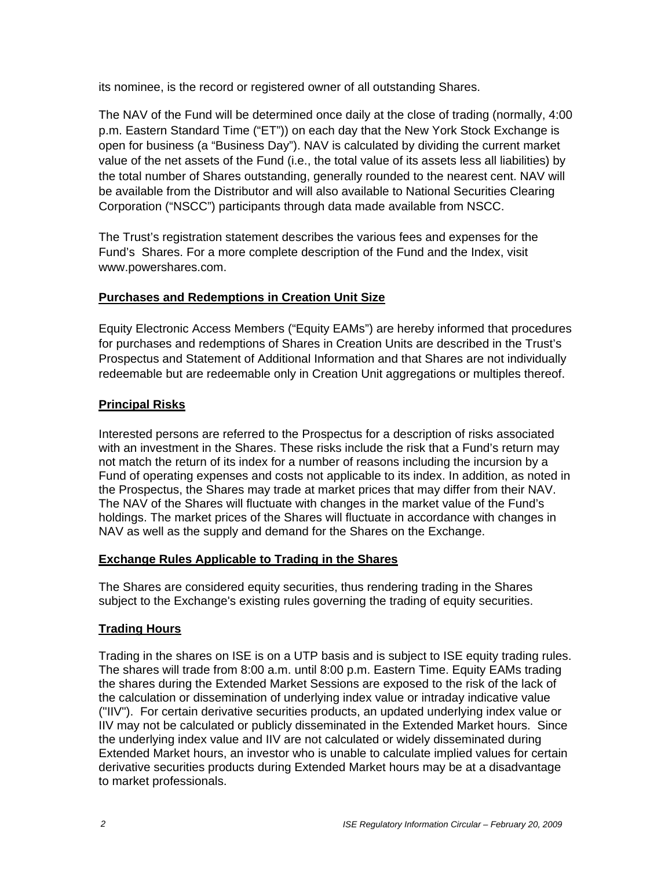its nominee, is the record or registered owner of all outstanding Shares.

The NAV of the Fund will be determined once daily at the close of trading (normally, 4:00 p.m. Eastern Standard Time ("ET")) on each day that the New York Stock Exchange is open for business (a "Business Day"). NAV is calculated by dividing the current market value of the net assets of the Fund (i.e., the total value of its assets less all liabilities) by the total number of Shares outstanding, generally rounded to the nearest cent. NAV will be available from the Distributor and will also available to National Securities Clearing Corporation ("NSCC") participants through data made available from NSCC.

The Trust's registration statement describes the various fees and expenses for the Fund's Shares. For a more complete description of the Fund and the Index, visit www.powershares.com.

# **Purchases and Redemptions in Creation Unit Size**

Equity Electronic Access Members ("Equity EAMs") are hereby informed that procedures for purchases and redemptions of Shares in Creation Units are described in the Trust's Prospectus and Statement of Additional Information and that Shares are not individually redeemable but are redeemable only in Creation Unit aggregations or multiples thereof.

## **Principal Risks**

Interested persons are referred to the Prospectus for a description of risks associated with an investment in the Shares. These risks include the risk that a Fund's return may not match the return of its index for a number of reasons including the incursion by a Fund of operating expenses and costs not applicable to its index. In addition, as noted in the Prospectus, the Shares may trade at market prices that may differ from their NAV. The NAV of the Shares will fluctuate with changes in the market value of the Fund's holdings. The market prices of the Shares will fluctuate in accordance with changes in NAV as well as the supply and demand for the Shares on the Exchange.

### **Exchange Rules Applicable to Trading in the Shares**

The Shares are considered equity securities, thus rendering trading in the Shares subject to the Exchange's existing rules governing the trading of equity securities.

# **Trading Hours**

Trading in the shares on ISE is on a UTP basis and is subject to ISE equity trading rules. The shares will trade from 8:00 a.m. until 8:00 p.m. Eastern Time. Equity EAMs trading the shares during the Extended Market Sessions are exposed to the risk of the lack of the calculation or dissemination of underlying index value or intraday indicative value ("IIV"). For certain derivative securities products, an updated underlying index value or IIV may not be calculated or publicly disseminated in the Extended Market hours. Since the underlying index value and IIV are not calculated or widely disseminated during Extended Market hours, an investor who is unable to calculate implied values for certain derivative securities products during Extended Market hours may be at a disadvantage to market professionals.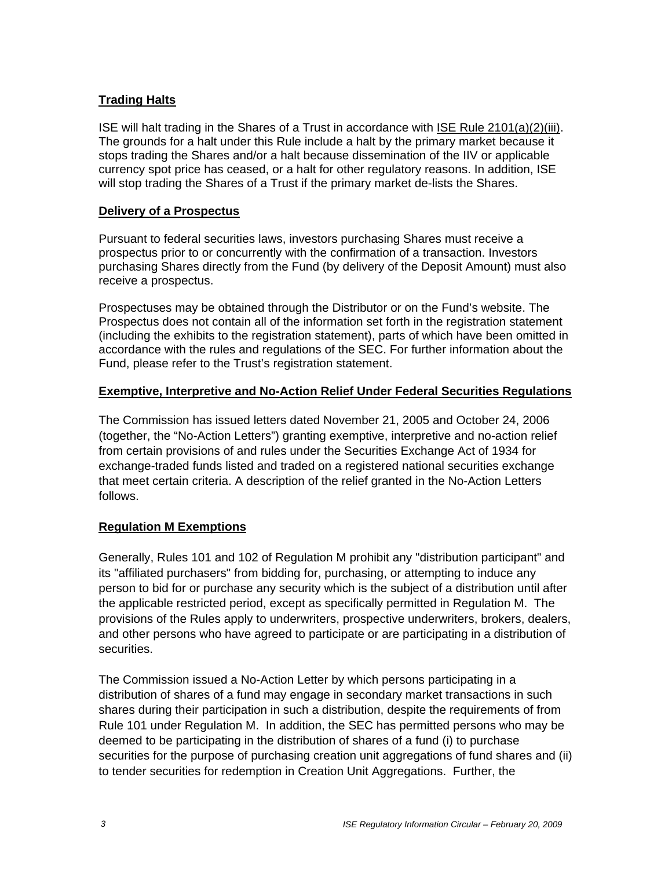## **Trading Halts**

ISE will halt trading in the Shares of a Trust in accordance with ISE Rule 2101(a)(2)(iii). The grounds for a halt under this Rule include a halt by the primary market because it stops trading the Shares and/or a halt because dissemination of the IIV or applicable currency spot price has ceased, or a halt for other regulatory reasons. In addition, ISE will stop trading the Shares of a Trust if the primary market de-lists the Shares.

## **Delivery of a Prospectus**

Pursuant to federal securities laws, investors purchasing Shares must receive a prospectus prior to or concurrently with the confirmation of a transaction. Investors purchasing Shares directly from the Fund (by delivery of the Deposit Amount) must also receive a prospectus.

Prospectuses may be obtained through the Distributor or on the Fund's website. The Prospectus does not contain all of the information set forth in the registration statement (including the exhibits to the registration statement), parts of which have been omitted in accordance with the rules and regulations of the SEC. For further information about the Fund, please refer to the Trust's registration statement.

## **Exemptive, Interpretive and No-Action Relief Under Federal Securities Regulations**

The Commission has issued letters dated November 21, 2005 and October 24, 2006 (together, the "No-Action Letters") granting exemptive, interpretive and no-action relief from certain provisions of and rules under the Securities Exchange Act of 1934 for exchange-traded funds listed and traded on a registered national securities exchange that meet certain criteria. A description of the relief granted in the No-Action Letters follows.

### **Regulation M Exemptions**

Generally, Rules 101 and 102 of Regulation M prohibit any "distribution participant" and its "affiliated purchasers" from bidding for, purchasing, or attempting to induce any person to bid for or purchase any security which is the subject of a distribution until after the applicable restricted period, except as specifically permitted in Regulation M. The provisions of the Rules apply to underwriters, prospective underwriters, brokers, dealers, and other persons who have agreed to participate or are participating in a distribution of securities.

The Commission issued a No-Action Letter by which persons participating in a distribution of shares of a fund may engage in secondary market transactions in such shares during their participation in such a distribution, despite the requirements of from Rule 101 under Regulation M. In addition, the SEC has permitted persons who may be deemed to be participating in the distribution of shares of a fund (i) to purchase securities for the purpose of purchasing creation unit aggregations of fund shares and (ii) to tender securities for redemption in Creation Unit Aggregations. Further, the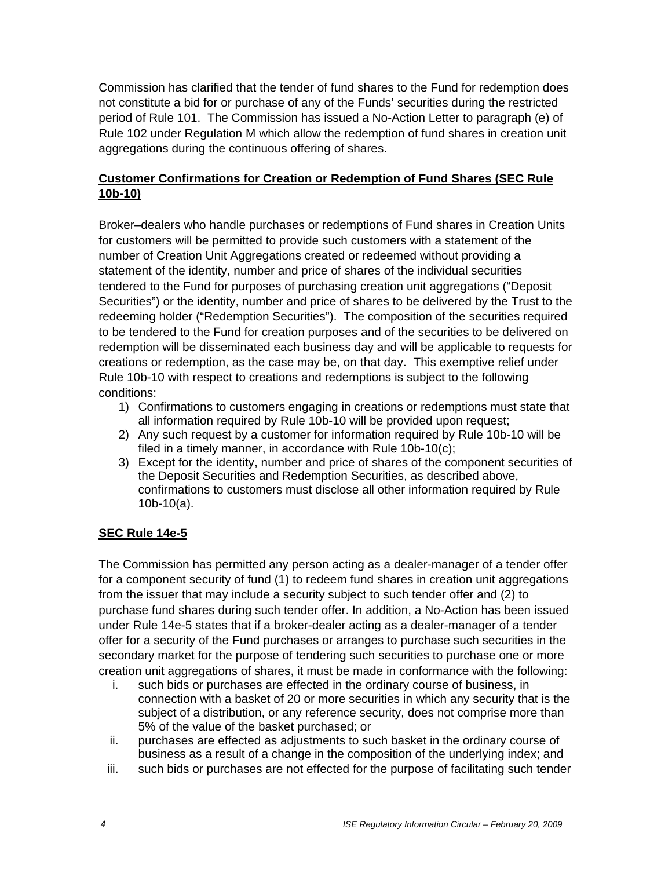Commission has clarified that the tender of fund shares to the Fund for redemption does not constitute a bid for or purchase of any of the Funds' securities during the restricted period of Rule 101. The Commission has issued a No-Action Letter to paragraph (e) of Rule 102 under Regulation M which allow the redemption of fund shares in creation unit aggregations during the continuous offering of shares.

# **Customer Confirmations for Creation or Redemption of Fund Shares (SEC Rule 10b-10)**

Broker–dealers who handle purchases or redemptions of Fund shares in Creation Units for customers will be permitted to provide such customers with a statement of the number of Creation Unit Aggregations created or redeemed without providing a statement of the identity, number and price of shares of the individual securities tendered to the Fund for purposes of purchasing creation unit aggregations ("Deposit Securities") or the identity, number and price of shares to be delivered by the Trust to the redeeming holder ("Redemption Securities"). The composition of the securities required to be tendered to the Fund for creation purposes and of the securities to be delivered on redemption will be disseminated each business day and will be applicable to requests for creations or redemption, as the case may be, on that day. This exemptive relief under Rule 10b-10 with respect to creations and redemptions is subject to the following conditions:

- 1) Confirmations to customers engaging in creations or redemptions must state that all information required by Rule 10b-10 will be provided upon request;
- 2) Any such request by a customer for information required by Rule 10b-10 will be filed in a timely manner, in accordance with Rule 10b-10(c);
- 3) Except for the identity, number and price of shares of the component securities of the Deposit Securities and Redemption Securities, as described above, confirmations to customers must disclose all other information required by Rule 10b-10(a).

# **SEC Rule 14e-5**

The Commission has permitted any person acting as a dealer-manager of a tender offer for a component security of fund (1) to redeem fund shares in creation unit aggregations from the issuer that may include a security subject to such tender offer and (2) to purchase fund shares during such tender offer. In addition, a No-Action has been issued under Rule 14e-5 states that if a broker-dealer acting as a dealer-manager of a tender offer for a security of the Fund purchases or arranges to purchase such securities in the secondary market for the purpose of tendering such securities to purchase one or more creation unit aggregations of shares, it must be made in conformance with the following:

- i. such bids or purchases are effected in the ordinary course of business, in connection with a basket of 20 or more securities in which any security that is the subject of a distribution, or any reference security, does not comprise more than 5% of the value of the basket purchased; or
- ii. purchases are effected as adjustments to such basket in the ordinary course of business as a result of a change in the composition of the underlying index; and
- iii. such bids or purchases are not effected for the purpose of facilitating such tender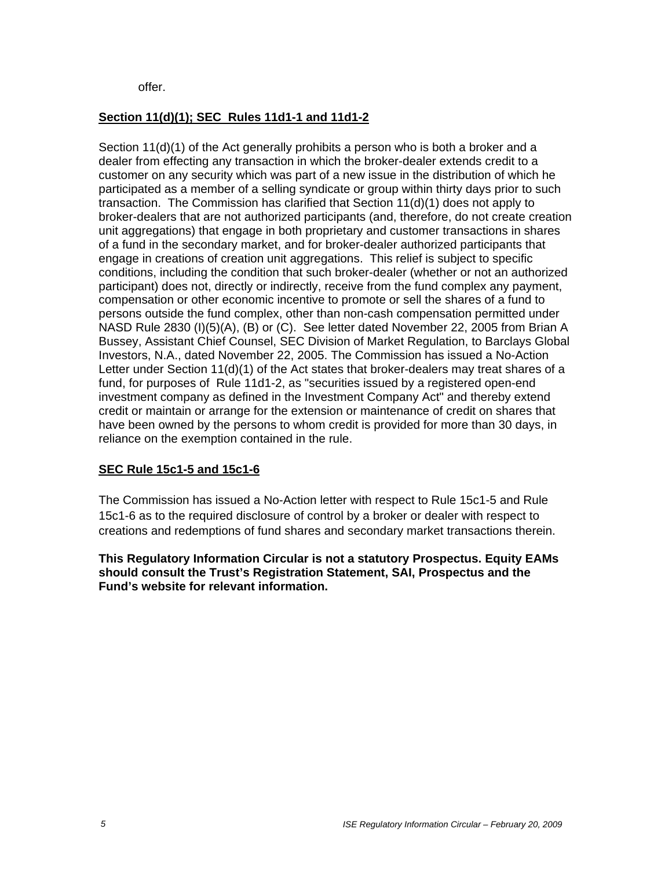offer.

# **Section 11(d)(1); SEC Rules 11d1-1 and 11d1-2**

Section 11(d)(1) of the Act generally prohibits a person who is both a broker and a dealer from effecting any transaction in which the broker-dealer extends credit to a customer on any security which was part of a new issue in the distribution of which he participated as a member of a selling syndicate or group within thirty days prior to such transaction. The Commission has clarified that Section 11(d)(1) does not apply to broker-dealers that are not authorized participants (and, therefore, do not create creation unit aggregations) that engage in both proprietary and customer transactions in shares of a fund in the secondary market, and for broker-dealer authorized participants that engage in creations of creation unit aggregations. This relief is subject to specific conditions, including the condition that such broker-dealer (whether or not an authorized participant) does not, directly or indirectly, receive from the fund complex any payment, compensation or other economic incentive to promote or sell the shares of a fund to persons outside the fund complex, other than non-cash compensation permitted under NASD Rule 2830 (I)(5)(A), (B) or (C). See letter dated November 22, 2005 from Brian A Bussey, Assistant Chief Counsel, SEC Division of Market Regulation, to Barclays Global Investors, N.A., dated November 22, 2005. The Commission has issued a No-Action Letter under Section 11(d)(1) of the Act states that broker-dealers may treat shares of a fund, for purposes of Rule 11d1-2, as "securities issued by a registered open-end investment company as defined in the Investment Company Act" and thereby extend credit or maintain or arrange for the extension or maintenance of credit on shares that have been owned by the persons to whom credit is provided for more than 30 days, in reliance on the exemption contained in the rule.

### **SEC Rule 15c1-5 and 15c1-6**

The Commission has issued a No-Action letter with respect to Rule 15c1-5 and Rule 15c1-6 as to the required disclosure of control by a broker or dealer with respect to creations and redemptions of fund shares and secondary market transactions therein.

**This Regulatory Information Circular is not a statutory Prospectus. Equity EAMs should consult the Trust's Registration Statement, SAI, Prospectus and the Fund's website for relevant information.**